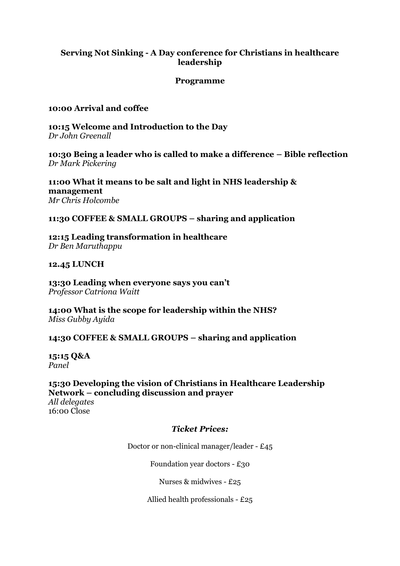# **Serving Not Sinking - A Day conference for Christians in healthcare leadership**

### **Programme**

## **10:00 Arrival and coffee**

**10:15 Welcome and Introduction to the Day** *Dr John Greenall*

**10:30 Being a leader who is called to make a difference – Bible reflection** *Dr Mark Pickering*

**11:00 What it means to be salt and light in NHS leadership & management** *Mr Chris Holcombe*

**11:30 COFFEE & SMALL GROUPS – sharing and application**

**12:15 Leading transformation in healthcare** *Dr Ben Maruthappu*

**12.45 LUNCH**

**13:30 Leading when everyone says you can't** *Professor Catriona Waitt*

**14:00 What is the scope for leadership within the NHS?** *Miss Gubby Ayida*

**14:30 COFFEE & SMALL GROUPS – sharing and application**

**15:15 Q&A** *Panel*

**15:30 Developing the vision of Christians in Healthcare Leadership Network – concluding discussion and prayer**

*All delegates* 16:00 Close

## *Ticket Prices:*

Doctor or non-clinical manager/leader - £45

Foundation year doctors - £30

Nurses & midwives - £25

Allied health professionals - £25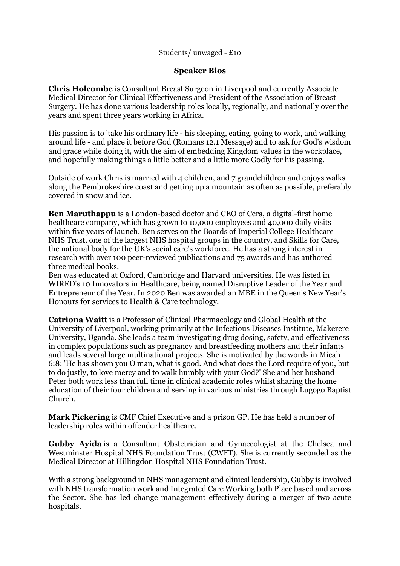#### Students/ unwaged - £10

#### **Speaker Bios**

**Chris Holcombe** is Consultant Breast Surgeon in Liverpool and currently Associate Medical Director for Clinical Effectiveness and President of the Association of Breast Surgery. He has done various leadership roles locally, regionally, and nationally over the years and spent three years working in Africa.

His passion is to 'take his ordinary life - his sleeping, eating, going to work, and walking around life - and place it before God (Romans 12.1 Message) and to ask for God's wisdom and grace while doing it, with the aim of embedding Kingdom values in the workplace, and hopefully making things a little better and a little more Godly for his passing.

Outside of work Chris is married with 4 children, and 7 grandchildren and enjoys walks along the Pembrokeshire coast and getting up a mountain as often as possible, preferably covered in snow and ice.

**Ben Maruthappu** is a London-based doctor and CEO of Cera, a digital-first home healthcare company, which has grown to 10,000 employees and 40,000 daily visits within five years of launch. Ben serves on the Boards of Imperial College Healthcare NHS Trust, one of the largest NHS hospital groups in the country, and Skills for Care, the national body for the UK's social care's workforce. He has a strong interest in research with over 100 peer-reviewed publications and 75 awards and has authored three medical books.

Ben was educated at Oxford, Cambridge and Harvard universities. He was listed in WIRED's 10 Innovators in Healthcare, being named Disruptive Leader of the Year and Entrepreneur of the Year. In 2020 Ben was awarded an MBE in the Queen's New Year's Honours for services to Health & Care technology.

**Catriona Waitt** is a Professor of Clinical Pharmacology and Global Health at the University of Liverpool, working primarily at the Infectious Diseases Institute, Makerere University, Uganda. She leads a team investigating drug dosing, safety, and effectiveness in complex populations such as pregnancy and breastfeeding mothers and their infants and leads several large multinational projects. She is motivated by the words in Micah 6:8: 'He has shown you O man, what is good. And what does the Lord require of you, but to do justly, to love mercy and to walk humbly with your God?' She and her husband Peter both work less than full time in clinical academic roles whilst sharing the home education of their four children and serving in various ministries through Lugogo Baptist Church.

**Mark Pickering** is CMF Chief Executive and a prison GP. He has held a number of leadership roles within offender healthcare.

**Gubby Ayida** is a Consultant Obstetrician and Gynaecologist at the Chelsea and Westminster Hospital NHS Foundation Trust (CWFT). She is currently seconded as the Medical Director at Hillingdon Hospital NHS Foundation Trust.

With a strong background in NHS management and clinical leadership, Gubby is involved with NHS transformation work and Integrated Care Working both Place based and across the Sector. She has led change management effectively during a merger of two acute hospitals.